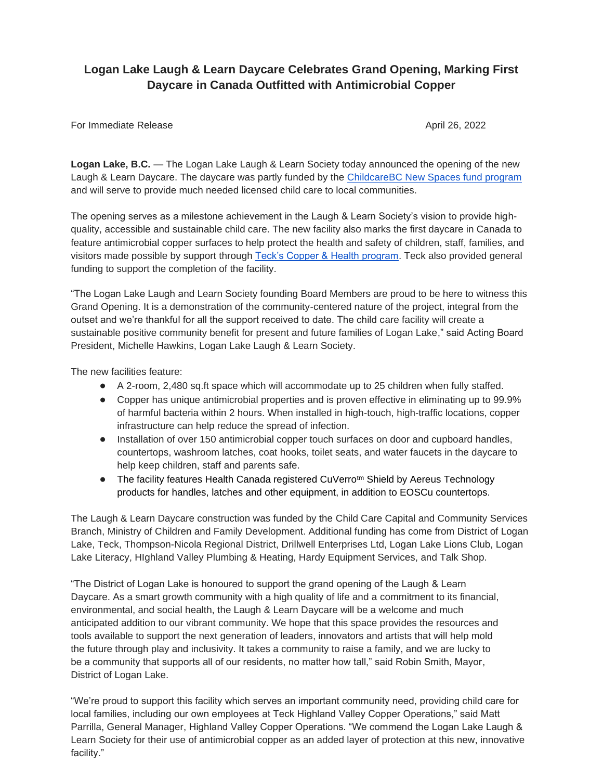# **Logan Lake Laugh & Learn Daycare Celebrates Grand Opening, Marking First Daycare in Canada Outfitted with Antimicrobial Copper**

#### For Immediate Release April 26, 2022

**Logan Lake, B.C.** — The Logan Lake Laugh & Learn Society today announced the opening of the new Laugh & Learn Daycare. The daycare was partly funded by the [ChildcareBC New Spaces fund program](https://www2.gov.bc.ca/gov/content/family-social-supports/caring-for-young-children/running-daycare-preschool/childcare-new-spaces-fund) and will serve to provide much needed licensed child care to local communities.

The opening serves as a milestone achievement in the Laugh & Learn Society's vision to provide highquality, accessible and sustainable child care. The new facility also marks the first daycare in Canada to feature antimicrobial copper surfaces to help protect the health and safety of children, staff, families, and visitors made possible by support through [Teck's Copper & Health program.](https://www.teck.com/sustainability/approach-to-responsibility/global-citizenship/copper-&-health/) Teck also provided general funding to support the completion of the facility.

"The Logan Lake Laugh and Learn Society founding Board Members are proud to be here to witness this Grand Opening. It is a demonstration of the community-centered nature of the project, integral from the outset and we're thankful for all the support received to date. The child care facility will create a sustainable positive community benefit for present and future families of Logan Lake," said Acting Board President, Michelle Hawkins, Logan Lake Laugh & Learn Society.

The new facilities feature:

- A 2-room, 2,480 sq.ft space which will accommodate up to 25 children when fully staffed.
- Copper has unique antimicrobial properties and is proven effective in eliminating up to 99.9% of harmful bacteria within 2 hours. When installed in high-touch, high-traffic locations, copper infrastructure can help reduce the spread of infection.
- Installation of over 150 antimicrobial copper touch surfaces on door and cupboard handles, countertops, washroom latches, coat hooks, toilet seats, and water faucets in the daycare to help keep children, staff and parents safe.
- The facility features Health Canada registered CuVerro<sup>tm</sup> Shield by Aereus Technology products for handles, latches and other equipment, in addition to EOSCu countertops.

The Laugh & Learn Daycare construction was funded by the Child Care Capital and Community Services Branch, Ministry of Children and Family Development. Additional funding has come from District of Logan Lake, Teck, Thompson-Nicola Regional District, Drillwell Enterprises Ltd, Logan Lake Lions Club, Logan Lake Literacy, HIghland Valley Plumbing & Heating, Hardy Equipment Services, and Talk Shop.

"The District of Logan Lake is honoured to support the grand opening of the Laugh & Learn Daycare. As a smart growth community with a high quality of life and a commitment to its financial, environmental, and social health, the Laugh & Learn Daycare will be a welcome and much anticipated addition to our vibrant community. We hope that this space provides the resources and tools available to support the next generation of leaders, innovators and artists that will help mold the future through play and inclusivity. It takes a community to raise a family, and we are lucky to be a community that supports all of our residents, no matter how tall," said Robin Smith, Mayor, District of Logan Lake.

"We're proud to support this facility which serves an important community need, providing child care for local families, including our own employees at Teck Highland Valley Copper Operations," said Matt Parrilla, General Manager, Highland Valley Copper Operations. "We commend the Logan Lake Laugh & Learn Society for their use of antimicrobial copper as an added layer of protection at this new, innovative facility."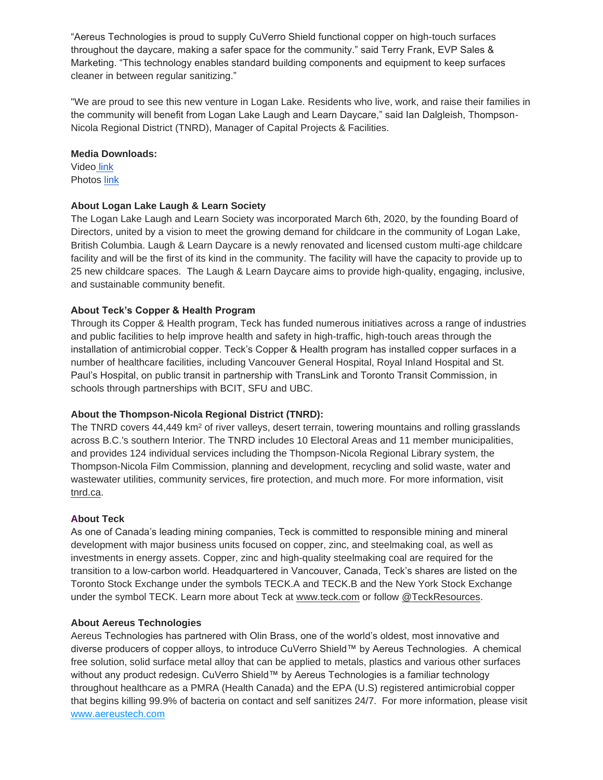"Aereus Technologies is proud to supply CuVerro Shield functional copper on high-touch surfaces throughout the daycare, making a safer space for the community." said Terry Frank, EVP Sales & Marketing. "This technology enables standard building components and equipment to keep surfaces cleaner in between regular sanitizing."

"We are proud to see this new venture in Logan Lake. Residents who live, work, and raise their families in the community will benefit from Logan Lake Laugh and Learn Daycare," said Ian Dalgleish, Thompson-Nicola Regional District (TNRD), Manager of Capital Projects & Facilities.

#### **Media Downloads:**

Video [link](https://vimeo.com/bokuria/review/703184670/2236fd64c4) Photos [link](https://www.dropbox.com/scl/fo/gpjoow40q9icq9jcgln9j/h?dl=0&rlkey=v09fb9vo0emss6rpwmthrxhex)

# **About Logan Lake Laugh & Learn Society**

The Logan Lake Laugh and Learn Society was incorporated March 6th, 2020, by the founding Board of Directors, united by a vision to meet the growing demand for childcare in the community of Logan Lake, British Columbia. Laugh & Learn Daycare is a newly renovated and licensed custom multi-age childcare facility and will be the first of its kind in the community. The facility will have the capacity to provide up to 25 new childcare spaces. The Laugh & Learn Daycare aims to provide high-quality, engaging, inclusive, and sustainable community benefit.

## **About Teck's Copper & Health Program**

Through its Copper & Health program, Teck has funded numerous initiatives across a range of industries and public facilities to help improve health and safety in high-traffic, high-touch areas through the installation of antimicrobial copper. Teck's Copper & Health program has installed copper surfaces in a number of healthcare facilities, including Vancouver General Hospital, Royal Inland Hospital and St. Paul's Hospital, on public transit in partnership with TransLink and Toronto Transit Commission, in schools through partnerships with BCIT, SFU and UBC.

### **About the Thompson-Nicola Regional District (TNRD):**

The TNRD covers 44,449 km<sup>2</sup> of river valleys, desert terrain, towering mountains and rolling grasslands across B.C.'s southern Interior. The TNRD includes 10 Electoral Areas and 11 member municipalities, and provides 124 individual services including the Thompson-Nicola Regional Library system, the Thompson-Nicola Film Commission, planning and development, recycling and solid waste, water and wastewater utilities, community services, fire protection, and much more. For more information, visit [tnrd.ca.](https://www.tnrd.ca/)

## **About Teck**

As one of Canada's leading mining companies, Teck is committed to responsible mining and mineral development with major business units focused on copper, zinc, and steelmaking coal, as well as investments in energy assets. Copper, zinc and high-quality steelmaking coal are required for the transition to a low-carbon world. Headquartered in Vancouver, Canada, Teck's shares are listed on the Toronto Stock Exchange under the symbols TECK.A and TECK.B and the New York Stock Exchange under the symbol TECK. Learn more about Teck at [www.teck.com](https://protect2.fireeye.com/v1/url?k=44e7cb43-1b7cf390-44e67490-86d3f8f67bce-be228c8cbad1cc7a&q=1&e=7ad4788f-c66e-46dc-834e-781520c851d9&u=http%3A%2F%2Fwww.teck.com%2F) or follow [@TeckResources.](https://protect2.fireeye.com/v1/url?k=0a2eef76-55b5d7a5-0a2f50a5-86d3f8f67bce-76324a6194807618&q=1&e=7ad4788f-c66e-46dc-834e-781520c851d9&u=http%3A%2F%2Fwww.twitter.com%2Fteckresources)

### **About Aereus Technologies**

Aereus Technologies has partnered with Olin Brass, one of the world's oldest, most innovative and diverse producers of copper alloys, to introduce CuVerro Shield™ by Aereus Technologies. A chemical free solution, solid surface metal alloy that can be applied to metals, plastics and various other surfaces without any product redesign. CuVerro Shield™ by Aereus Technologies is a familiar technology throughout healthcare as a PMRA (Health Canada) and the EPA (U.S) registered antimicrobial copper that begins killing 99.9% of bacteria on contact and self sanitizes 24/7. For more information, please visi[t](http://www.aereustech.com/) [www.aereustech.com](http://www.aereustech.com/)